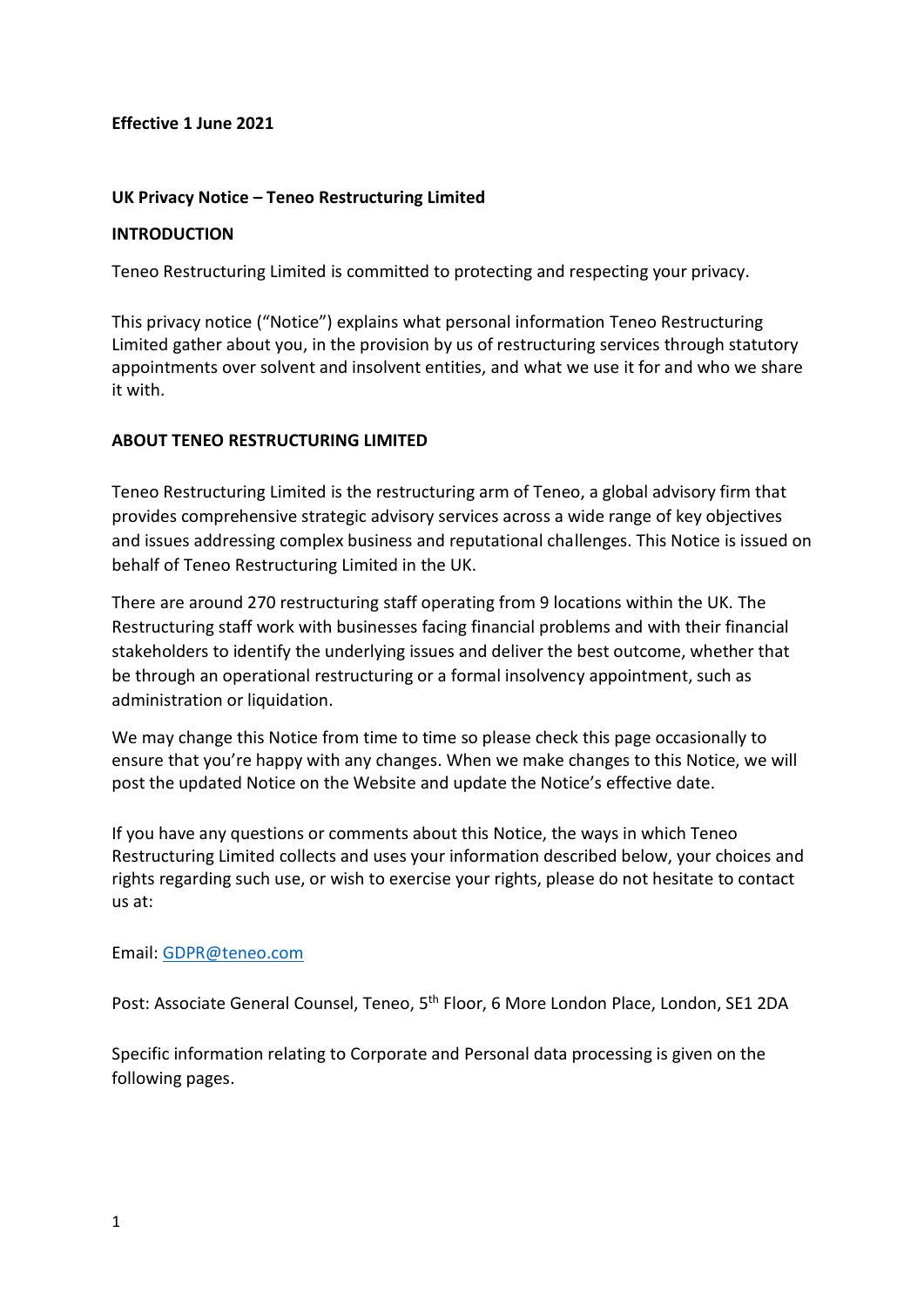## **Effective 1 June 2021**

# **UK Privacy Notice – Teneo Restructuring Limited**

## **INTRODUCTION**

Teneo Restructuring Limited is committed to protecting and respecting your privacy.

This privacy notice ("Notice") explains what personal information Teneo Restructuring Limited gather about you, in the provision by us of restructuring services through statutory appointments over solvent and insolvent entities, and what we use it for and who we share it with.

## **ABOUT TENEO RESTRUCTURING LIMITED**

Teneo Restructuring Limited is the restructuring arm of Teneo, a global advisory firm that provides comprehensive strategic advisory services across a wide range of key objectives and issues addressing complex business and reputational challenges. This Notice is issued on behalf of Teneo Restructuring Limited in the UK.

There are around 270 restructuring staff operating from 9 locations within the UK. The Restructuring staff work with businesses facing financial problems and with their financial stakeholders to identify the underlying issues and deliver the best outcome, whether that be through an operational restructuring or a formal insolvency appointment, such as administration or liquidation.

We may change this Notice from time to time so please check this page occasionally to ensure that you're happy with any changes. When we make changes to this Notice, we will post the updated Notice on the Website and update the Notice's effective date.

If you have any questions or comments about this Notice, the ways in which Teneo Restructuring Limited collects and uses your information described below, your choices and rights regarding such use, or wish to exercise your rights, please do not hesitate to contact us at:

## Email: [GDPR@teneo.com](mailto:GDPR@teneo.com)

Post: Associate General Counsel, Teneo, 5<sup>th</sup> Floor, 6 More London Place, London, SE1 2DA

Specific information relating to Corporate and Personal data processing is given on the following pages.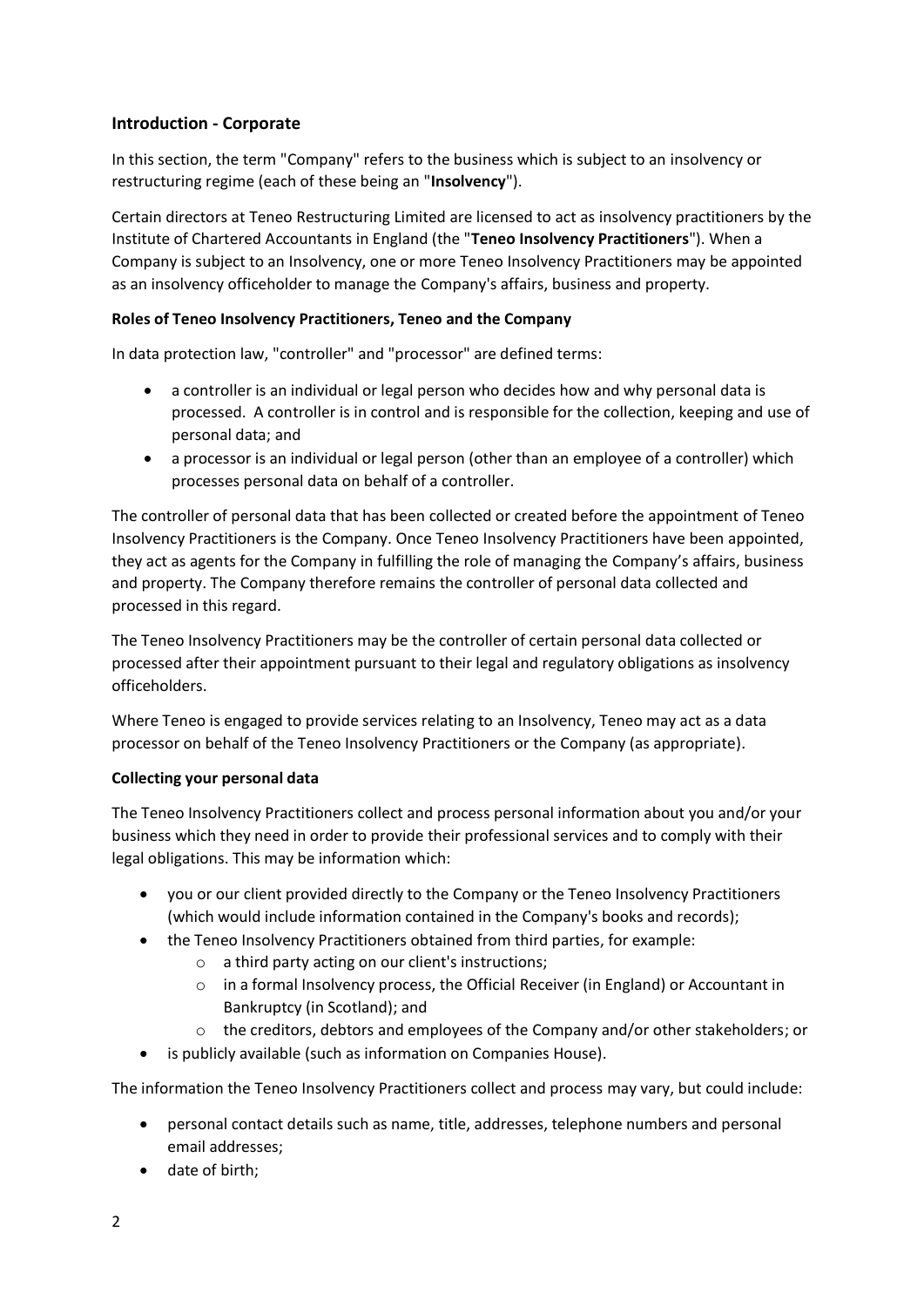## **Introduction - Corporate**

In this section, the term "Company" refers to the business which is subject to an insolvency or restructuring regime (each of these being an "**Insolvency**").

Certain directors at Teneo Restructuring Limited are licensed to act as insolvency practitioners by the Institute of Chartered Accountants in England (the "**Teneo Insolvency Practitioners**"). When a Company is subject to an Insolvency, one or more Teneo Insolvency Practitioners may be appointed as an insolvency officeholder to manage the Company's affairs, business and property.

### **Roles of Teneo Insolvency Practitioners, Teneo and the Company**

In data protection law, "controller" and "processor" are defined terms:

- a controller is an individual or legal person who decides how and why personal data is processed. A controller is in control and is responsible for the collection, keeping and use of personal data; and
- a processor is an individual or legal person (other than an employee of a controller) which processes personal data on behalf of a controller.

The controller of personal data that has been collected or created before the appointment of Teneo Insolvency Practitioners is the Company. Once Teneo Insolvency Practitioners have been appointed, they act as agents for the Company in fulfilling the role of managing the Company's affairs, business and property. The Company therefore remains the controller of personal data collected and processed in this regard.

The Teneo Insolvency Practitioners may be the controller of certain personal data collected or processed after their appointment pursuant to their legal and regulatory obligations as insolvency officeholders.

Where Teneo is engaged to provide services relating to an Insolvency, Teneo may act as a data processor on behalf of the Teneo Insolvency Practitioners or the Company (as appropriate).

## **Collecting your personal data**

The Teneo Insolvency Practitioners collect and process personal information about you and/or your business which they need in order to provide their professional services and to comply with their legal obligations. This may be information which:

- you or our client provided directly to the Company or the Teneo Insolvency Practitioners (which would include information contained in the Company's books and records);
- the Teneo Insolvency Practitioners obtained from third parties, for example:
	- o a third party acting on our client's instructions;
	- o in a formal Insolvency process, the Official Receiver (in England) or Accountant in Bankruptcy (in Scotland); and
	- $\circ$  the creditors, debtors and employees of the Company and/or other stakeholders; or
- is publicly available (such as information on Companies House).

The information the Teneo Insolvency Practitioners collect and process may vary, but could include:

- personal contact details such as name, title, addresses, telephone numbers and personal email addresses;
- date of birth;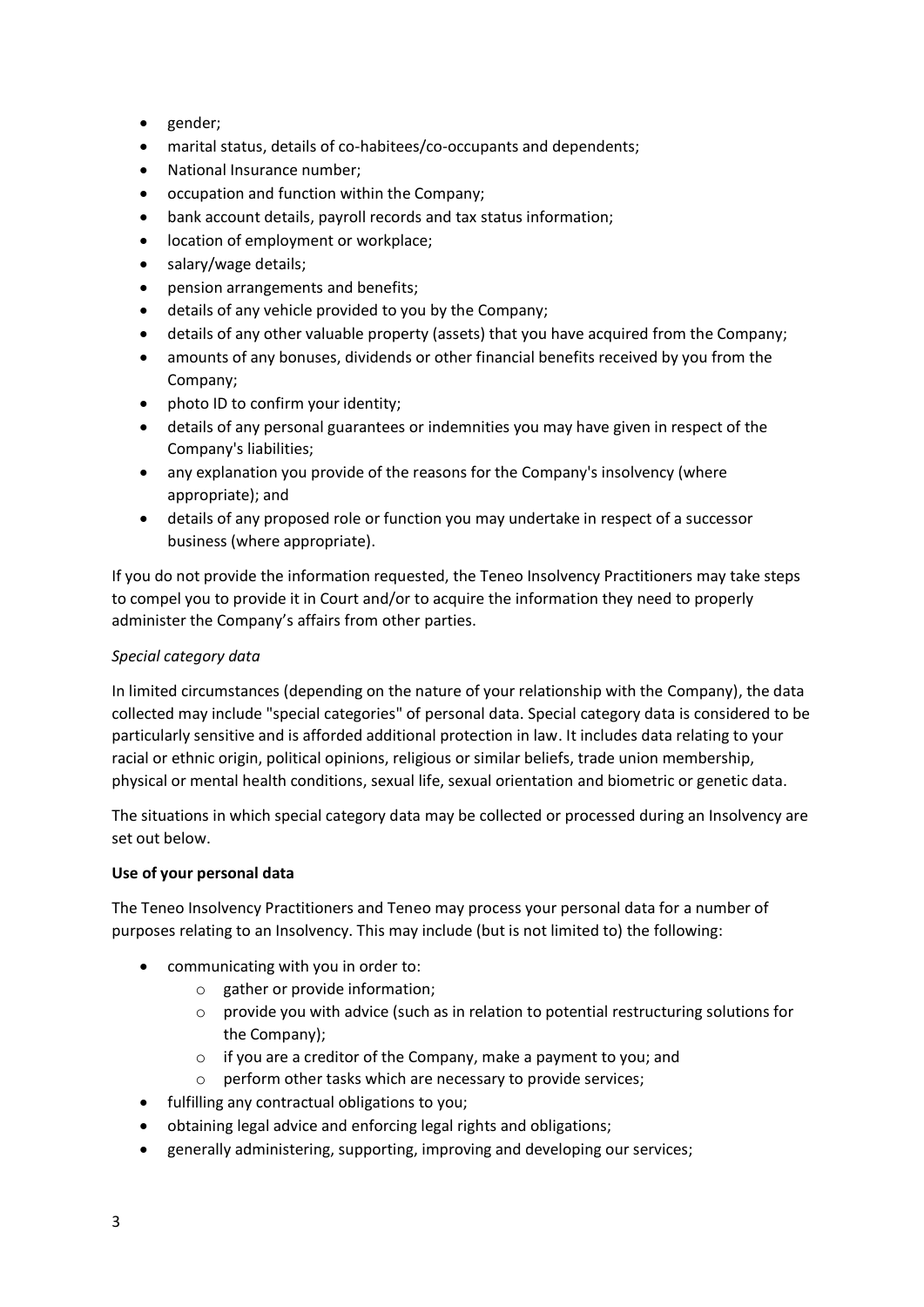- gender;
- marital status, details of co-habitees/co-occupants and dependents;
- National Insurance number;
- occupation and function within the Company;
- bank account details, payroll records and tax status information;
- location of employment or workplace;
- salary/wage details;
- pension arrangements and benefits;
- details of any vehicle provided to you by the Company;
- details of any other valuable property (assets) that you have acquired from the Company;
- amounts of any bonuses, dividends or other financial benefits received by you from the Company;
- photo ID to confirm your identity;
- details of any personal guarantees or indemnities you may have given in respect of the Company's liabilities;
- any explanation you provide of the reasons for the Company's insolvency (where appropriate); and
- details of any proposed role or function you may undertake in respect of a successor business (where appropriate).

If you do not provide the information requested, the Teneo Insolvency Practitioners may take steps to compel you to provide it in Court and/or to acquire the information they need to properly administer the Company's affairs from other parties.

## *Special category data*

In limited circumstances (depending on the nature of your relationship with the Company), the data collected may include "special categories" of personal data. Special category data is considered to be particularly sensitive and is afforded additional protection in law. It includes data relating to your racial or ethnic origin, political opinions, religious or similar beliefs, trade union membership, physical or mental health conditions, sexual life, sexual orientation and biometric or genetic data.

The situations in which special category data may be collected or processed during an Insolvency are set out below.

#### **Use of your personal data**

The Teneo Insolvency Practitioners and Teneo may process your personal data for a number of purposes relating to an Insolvency. This may include (but is not limited to) the following:

- communicating with you in order to:
	- o gather or provide information;
	- $\circ$  provide you with advice (such as in relation to potential restructuring solutions for the Company);
	- o if you are a creditor of the Company, make a payment to you; and
	- perform other tasks which are necessary to provide services;
- fulfilling any contractual obligations to you;
- obtaining legal advice and enforcing legal rights and obligations;
- generally administering, supporting, improving and developing our services;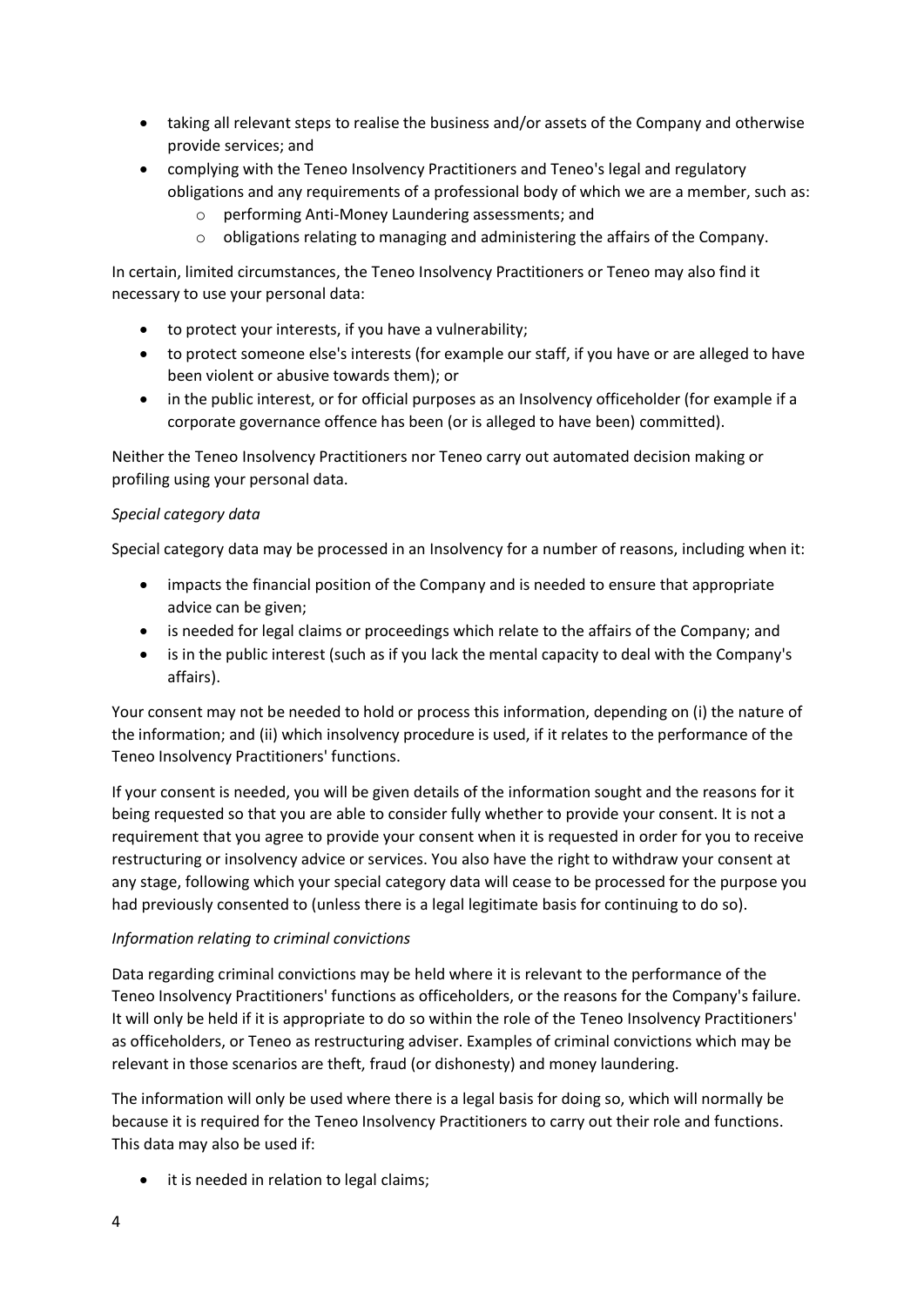- taking all relevant steps to realise the business and/or assets of the Company and otherwise provide services; and
- complying with the Teneo Insolvency Practitioners and Teneo's legal and regulatory obligations and any requirements of a professional body of which we are a member, such as:
	- o performing Anti-Money Laundering assessments; and
	- o obligations relating to managing and administering the affairs of the Company.

In certain, limited circumstances, the Teneo Insolvency Practitioners or Teneo may also find it necessary to use your personal data:

- to protect your interests, if you have a vulnerability;
- to protect someone else's interests (for example our staff, if you have or are alleged to have been violent or abusive towards them); or
- in the public interest, or for official purposes as an Insolvency officeholder (for example if a corporate governance offence has been (or is alleged to have been) committed).

Neither the Teneo Insolvency Practitioners nor Teneo carry out automated decision making or profiling using your personal data.

## *Special category data*

Special category data may be processed in an Insolvency for a number of reasons, including when it:

- impacts the financial position of the Company and is needed to ensure that appropriate advice can be given;
- is needed for legal claims or proceedings which relate to the affairs of the Company; and
- is in the public interest (such as if you lack the mental capacity to deal with the Company's affairs).

Your consent may not be needed to hold or process this information, depending on (i) the nature of the information; and (ii) which insolvency procedure is used, if it relates to the performance of the Teneo Insolvency Practitioners' functions.

If your consent is needed, you will be given details of the information sought and the reasons for it being requested so that you are able to consider fully whether to provide your consent. It is not a requirement that you agree to provide your consent when it is requested in order for you to receive restructuring or insolvency advice or services. You also have the right to withdraw your consent at any stage, following which your special category data will cease to be processed for the purpose you had previously consented to (unless there is a legal legitimate basis for continuing to do so).

## *Information relating to criminal convictions*

Data regarding criminal convictions may be held where it is relevant to the performance of the Teneo Insolvency Practitioners' functions as officeholders, or the reasons for the Company's failure. It will only be held if it is appropriate to do so within the role of the Teneo Insolvency Practitioners' as officeholders, or Teneo as restructuring adviser. Examples of criminal convictions which may be relevant in those scenarios are theft, fraud (or dishonesty) and money laundering.

The information will only be used where there is a legal basis for doing so, which will normally be because it is required for the Teneo Insolvency Practitioners to carry out their role and functions. This data may also be used if:

it is needed in relation to legal claims;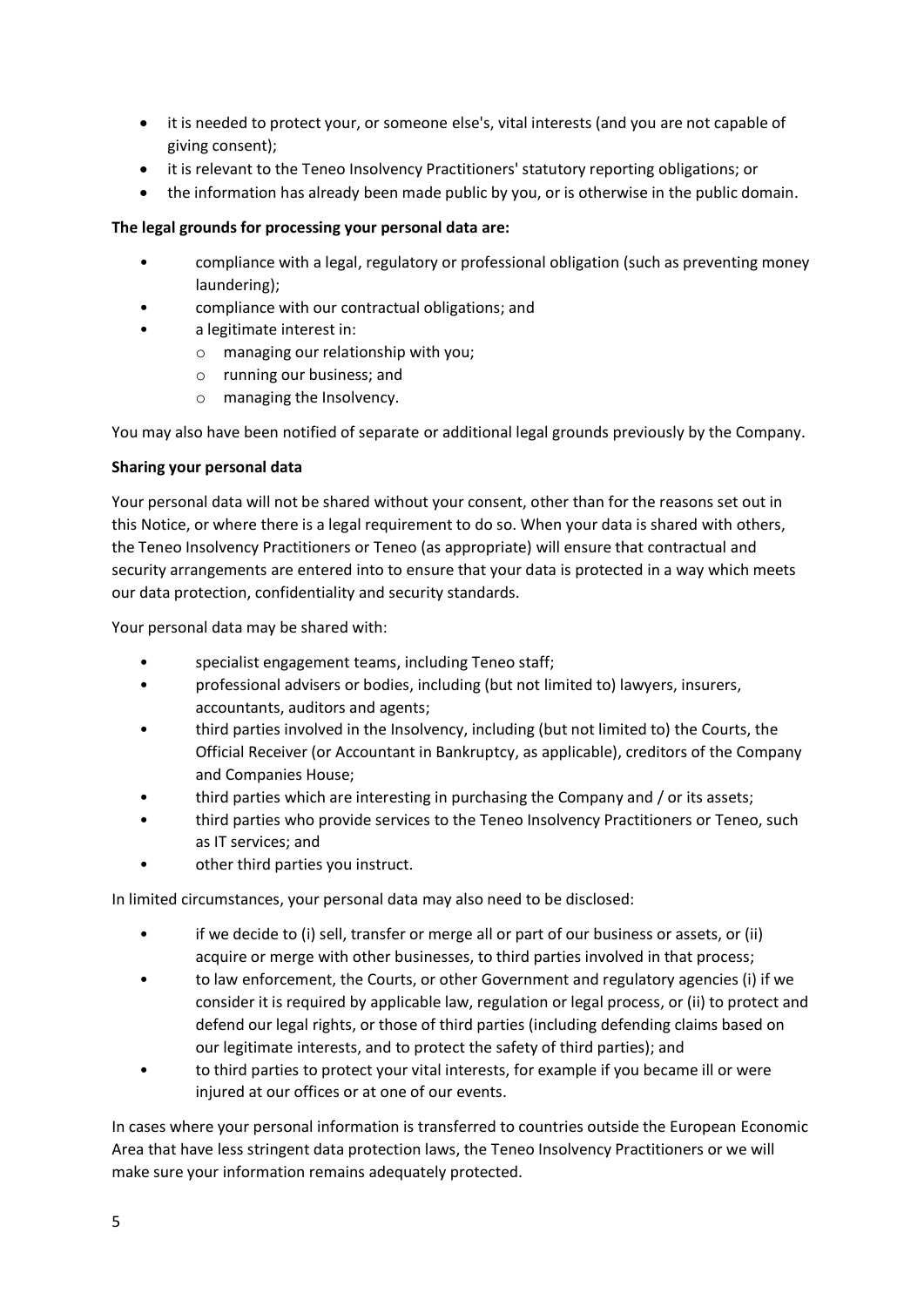- it is needed to protect your, or someone else's, vital interests (and you are not capable of giving consent);
- it is relevant to the Teneo Insolvency Practitioners' statutory reporting obligations; or
- the information has already been made public by you, or is otherwise in the public domain.

## **The legal grounds for processing your personal data are:**

- compliance with a legal, regulatory or professional obligation (such as preventing money laundering);
- compliance with our contractual obligations; and
- a legitimate interest in:
	- o managing our relationship with you;
	- o running our business; and
	- o managing the Insolvency.

You may also have been notified of separate or additional legal grounds previously by the Company.

#### **Sharing your personal data**

Your personal data will not be shared without your consent, other than for the reasons set out in this Notice, or where there is a legal requirement to do so. When your data is shared with others, the Teneo Insolvency Practitioners or Teneo (as appropriate) will ensure that contractual and security arrangements are entered into to ensure that your data is protected in a way which meets our data protection, confidentiality and security standards.

Your personal data may be shared with:

- specialist engagement teams, including Teneo staff;
- professional advisers or bodies, including (but not limited to) lawyers, insurers, accountants, auditors and agents;
- third parties involved in the Insolvency, including (but not limited to) the Courts, the Official Receiver (or Accountant in Bankruptcy, as applicable), creditors of the Company and Companies House;
- third parties which are interesting in purchasing the Company and / or its assets;
- third parties who provide services to the Teneo Insolvency Practitioners or Teneo, such as IT services; and
- other third parties you instruct.

In limited circumstances, your personal data may also need to be disclosed:

- if we decide to (i) sell, transfer or merge all or part of our business or assets, or (ii) acquire or merge with other businesses, to third parties involved in that process;
- to law enforcement, the Courts, or other Government and regulatory agencies (i) if we consider it is required by applicable law, regulation or legal process, or (ii) to protect and defend our legal rights, or those of third parties (including defending claims based on our legitimate interests, and to protect the safety of third parties); and
- to third parties to protect your vital interests, for example if you became ill or were injured at our offices or at one of our events.

In cases where your personal information is transferred to countries outside the European Economic Area that have less stringent data protection laws, the Teneo Insolvency Practitioners or we will make sure your information remains adequately protected.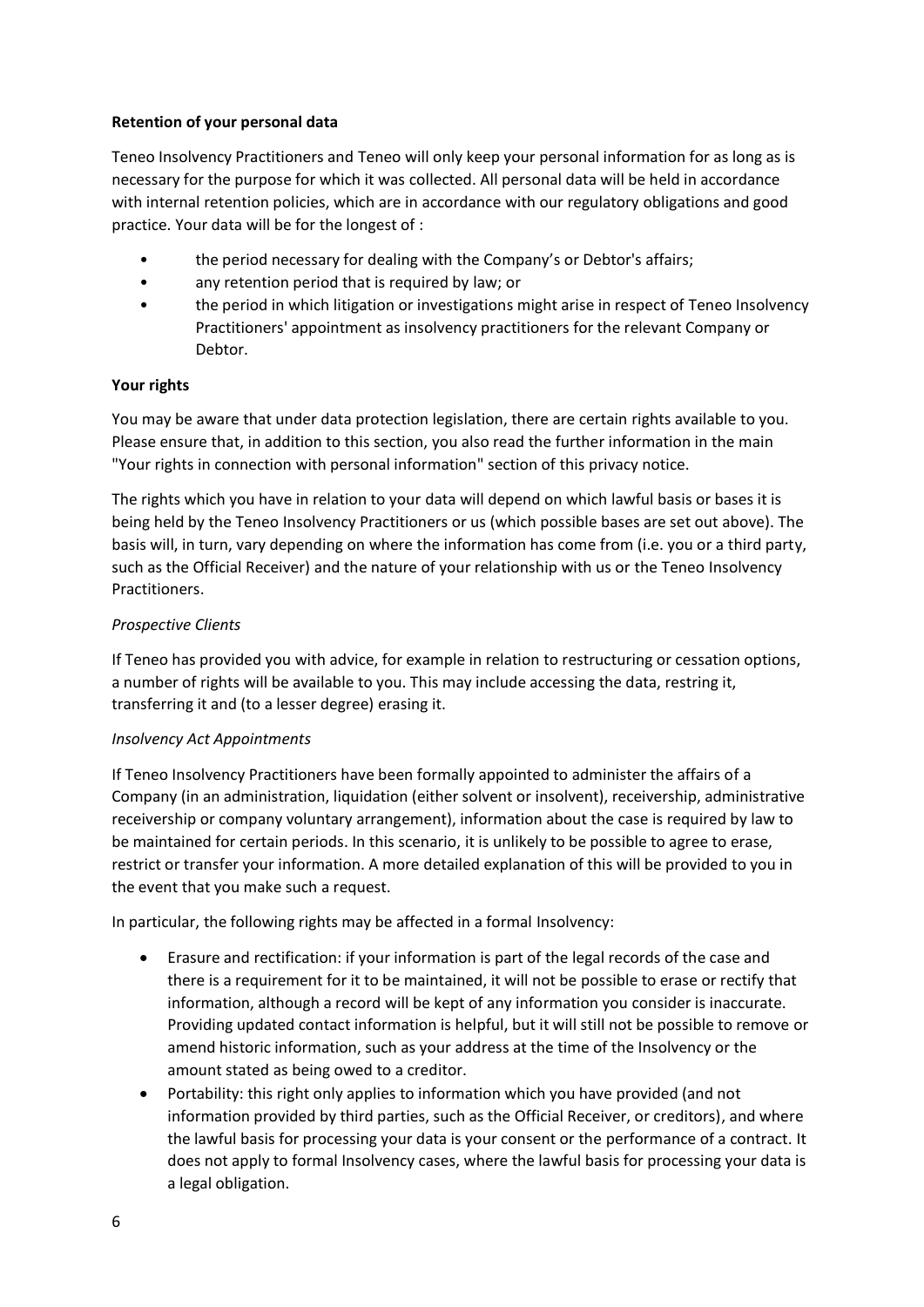### **Retention of your personal data**

Teneo Insolvency Practitioners and Teneo will only keep your personal information for as long as is necessary for the purpose for which it was collected. All personal data will be held in accordance with internal retention policies, which are in accordance with our regulatory obligations and good practice. Your data will be for the longest of :

- the period necessary for dealing with the Company's or Debtor's affairs;
- any retention period that is required by law; or
- the period in which litigation or investigations might arise in respect of Teneo Insolvency Practitioners' appointment as insolvency practitioners for the relevant Company or Debtor.

#### **Your rights**

You may be aware that under data protection legislation, there are certain rights available to you. Please ensure that, in addition to this section, you also read the further information in the main "Your rights in connection with personal information" section of this privacy notice.

The rights which you have in relation to your data will depend on which lawful basis or bases it is being held by the Teneo Insolvency Practitioners or us (which possible bases are set out above). The basis will, in turn, vary depending on where the information has come from (i.e. you or a third party, such as the Official Receiver) and the nature of your relationship with us or the Teneo Insolvency Practitioners.

#### *Prospective Clients*

If Teneo has provided you with advice, for example in relation to restructuring or cessation options, a number of rights will be available to you. This may include accessing the data, restring it, transferring it and (to a lesser degree) erasing it.

## *Insolvency Act Appointments*

If Teneo Insolvency Practitioners have been formally appointed to administer the affairs of a Company (in an administration, liquidation (either solvent or insolvent), receivership, administrative receivership or company voluntary arrangement), information about the case is required by law to be maintained for certain periods. In this scenario, it is unlikely to be possible to agree to erase, restrict or transfer your information. A more detailed explanation of this will be provided to you in the event that you make such a request.

In particular, the following rights may be affected in a formal Insolvency:

- Erasure and rectification: if your information is part of the legal records of the case and there is a requirement for it to be maintained, it will not be possible to erase or rectify that information, although a record will be kept of any information you consider is inaccurate. Providing updated contact information is helpful, but it will still not be possible to remove or amend historic information, such as your address at the time of the Insolvency or the amount stated as being owed to a creditor.
- Portability: this right only applies to information which you have provided (and not information provided by third parties, such as the Official Receiver, or creditors), and where the lawful basis for processing your data is your consent or the performance of a contract. It does not apply to formal Insolvency cases, where the lawful basis for processing your data is a legal obligation.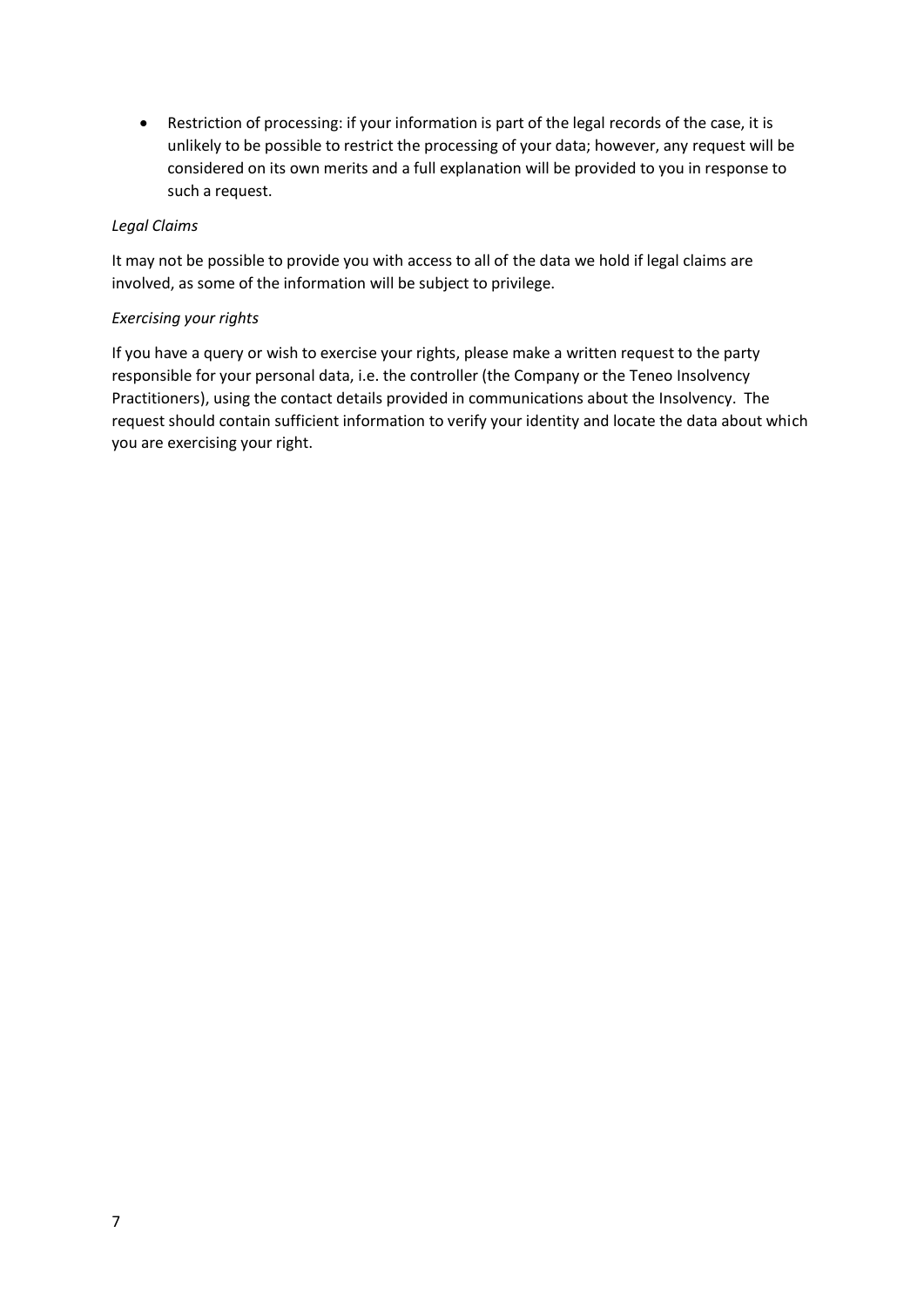• Restriction of processing: if your information is part of the legal records of the case, it is unlikely to be possible to restrict the processing of your data; however, any request will be considered on its own merits and a full explanation will be provided to you in response to such a request.

### *Legal Claims*

It may not be possible to provide you with access to all of the data we hold if legal claims are involved, as some of the information will be subject to privilege.

#### *Exercising your rights*

If you have a query or wish to exercise your rights, please make a written request to the party responsible for your personal data, i.e. the controller (the Company or the Teneo Insolvency Practitioners), using the contact details provided in communications about the Insolvency. The request should contain sufficient information to verify your identity and locate the data about which you are exercising your right.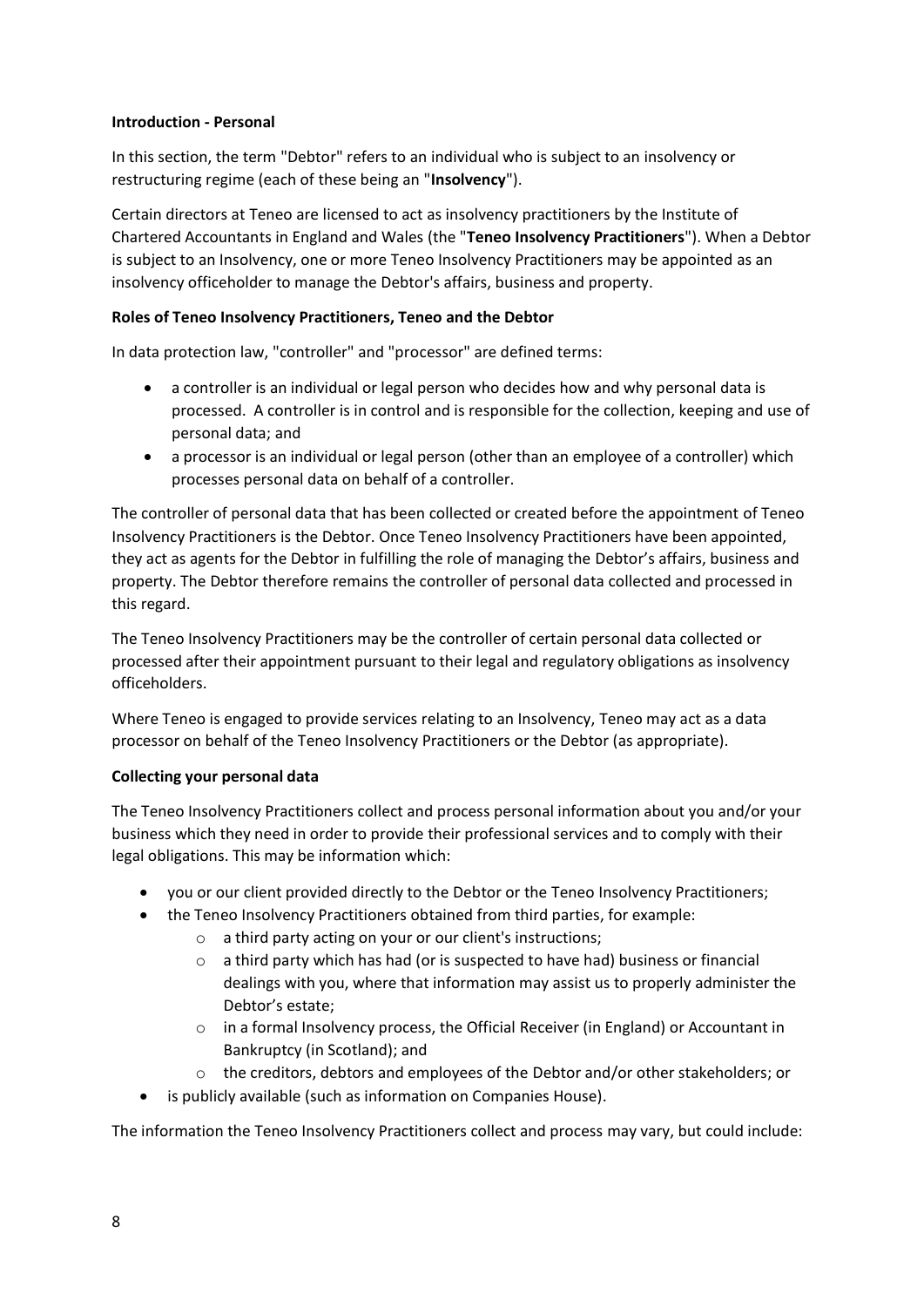#### **Introduction - Personal**

In this section, the term "Debtor" refers to an individual who is subject to an insolvency or restructuring regime (each of these being an "**Insolvency**").

Certain directors at Teneo are licensed to act as insolvency practitioners by the Institute of Chartered Accountants in England and Wales (the "**Teneo Insolvency Practitioners**"). When a Debtor is subject to an Insolvency, one or more Teneo Insolvency Practitioners may be appointed as an insolvency officeholder to manage the Debtor's affairs, business and property.

### **Roles of Teneo Insolvency Practitioners, Teneo and the Debtor**

In data protection law, "controller" and "processor" are defined terms:

- a controller is an individual or legal person who decides how and why personal data is processed. A controller is in control and is responsible for the collection, keeping and use of personal data; and
- a processor is an individual or legal person (other than an employee of a controller) which processes personal data on behalf of a controller.

The controller of personal data that has been collected or created before the appointment of Teneo Insolvency Practitioners is the Debtor. Once Teneo Insolvency Practitioners have been appointed, they act as agents for the Debtor in fulfilling the role of managing the Debtor's affairs, business and property. The Debtor therefore remains the controller of personal data collected and processed in this regard.

The Teneo Insolvency Practitioners may be the controller of certain personal data collected or processed after their appointment pursuant to their legal and regulatory obligations as insolvency officeholders.

Where Teneo is engaged to provide services relating to an Insolvency, Teneo may act as a data processor on behalf of the Teneo Insolvency Practitioners or the Debtor (as appropriate).

#### **Collecting your personal data**

The Teneo Insolvency Practitioners collect and process personal information about you and/or your business which they need in order to provide their professional services and to comply with their legal obligations. This may be information which:

- you or our client provided directly to the Debtor or the Teneo Insolvency Practitioners;
- the Teneo Insolvency Practitioners obtained from third parties, for example:
	- o a third party acting on your or our client's instructions;
	- $\circ$  a third party which has had (or is suspected to have had) business or financial dealings with you, where that information may assist us to properly administer the Debtor's estate;
	- o in a formal Insolvency process, the Official Receiver (in England) or Accountant in Bankruptcy (in Scotland); and
	- $\circ$  the creditors, debtors and employees of the Debtor and/or other stakeholders; or
- is publicly available (such as information on Companies House).

The information the Teneo Insolvency Practitioners collect and process may vary, but could include: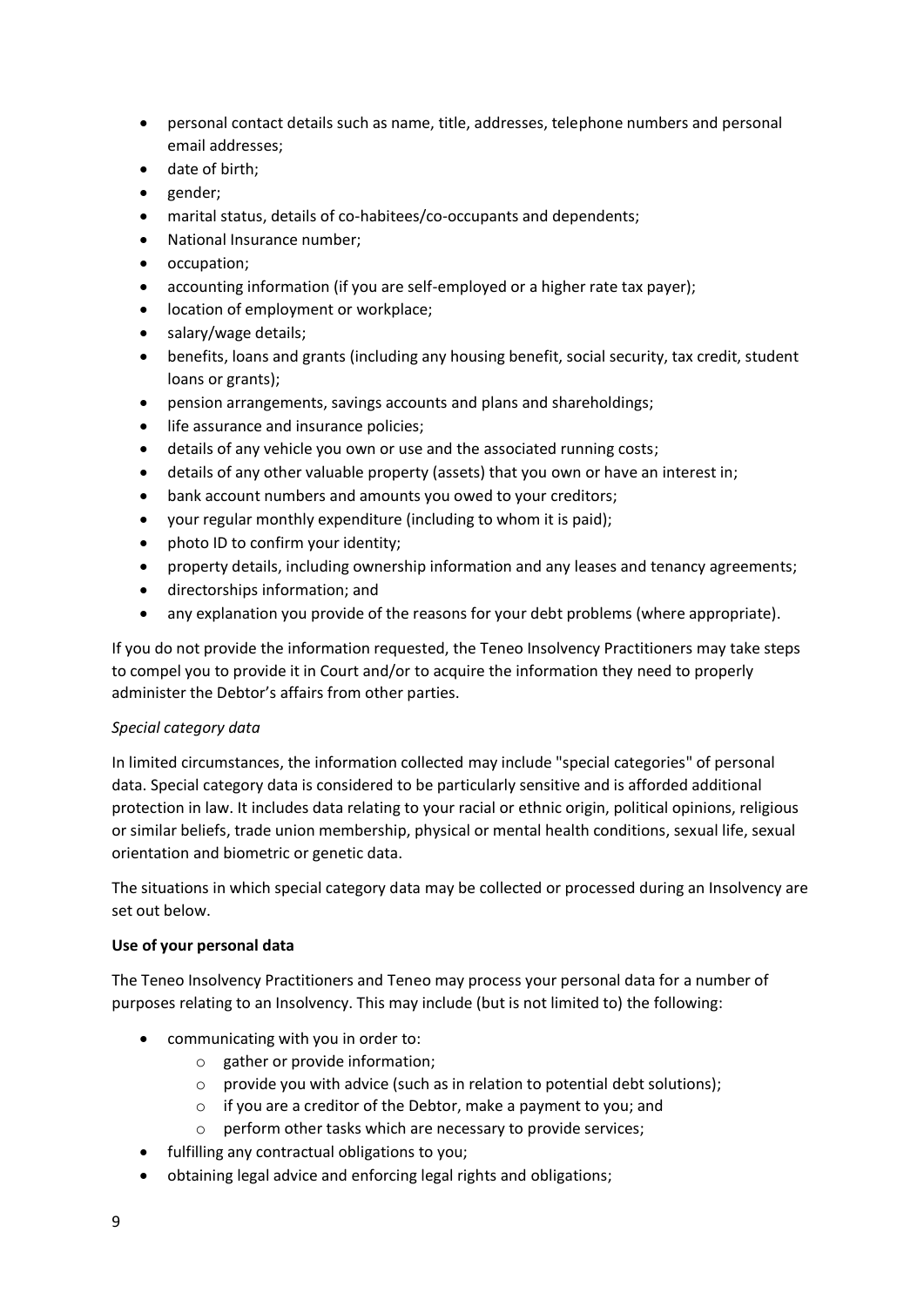- personal contact details such as name, title, addresses, telephone numbers and personal email addresses;
- date of birth;
- gender;
- marital status, details of co-habitees/co-occupants and dependents;
- National Insurance number;
- occupation;
- accounting information (if you are self-employed or a higher rate tax payer);
- location of employment or workplace;
- salary/wage details;
- benefits, loans and grants (including any housing benefit, social security, tax credit, student loans or grants);
- pension arrangements, savings accounts and plans and shareholdings;
- life assurance and insurance policies;
- details of any vehicle you own or use and the associated running costs;
- details of any other valuable property (assets) that you own or have an interest in;
- bank account numbers and amounts you owed to your creditors;
- your regular monthly expenditure (including to whom it is paid);
- photo ID to confirm your identity;
- property details, including ownership information and any leases and tenancy agreements;
- directorships information; and
- any explanation you provide of the reasons for your debt problems (where appropriate).

If you do not provide the information requested, the Teneo Insolvency Practitioners may take steps to compel you to provide it in Court and/or to acquire the information they need to properly administer the Debtor's affairs from other parties.

## *Special category data*

In limited circumstances, the information collected may include "special categories" of personal data. Special category data is considered to be particularly sensitive and is afforded additional protection in law. It includes data relating to your racial or ethnic origin, political opinions, religious or similar beliefs, trade union membership, physical or mental health conditions, sexual life, sexual orientation and biometric or genetic data.

The situations in which special category data may be collected or processed during an Insolvency are set out below.

## **Use of your personal data**

The Teneo Insolvency Practitioners and Teneo may process your personal data for a number of purposes relating to an Insolvency. This may include (but is not limited to) the following:

- communicating with you in order to:
	- o gather or provide information;
	- o provide you with advice (such as in relation to potential debt solutions);
	- o if you are a creditor of the Debtor, make a payment to you; and
	- o perform other tasks which are necessary to provide services;
- fulfilling any contractual obligations to you;
- obtaining legal advice and enforcing legal rights and obligations;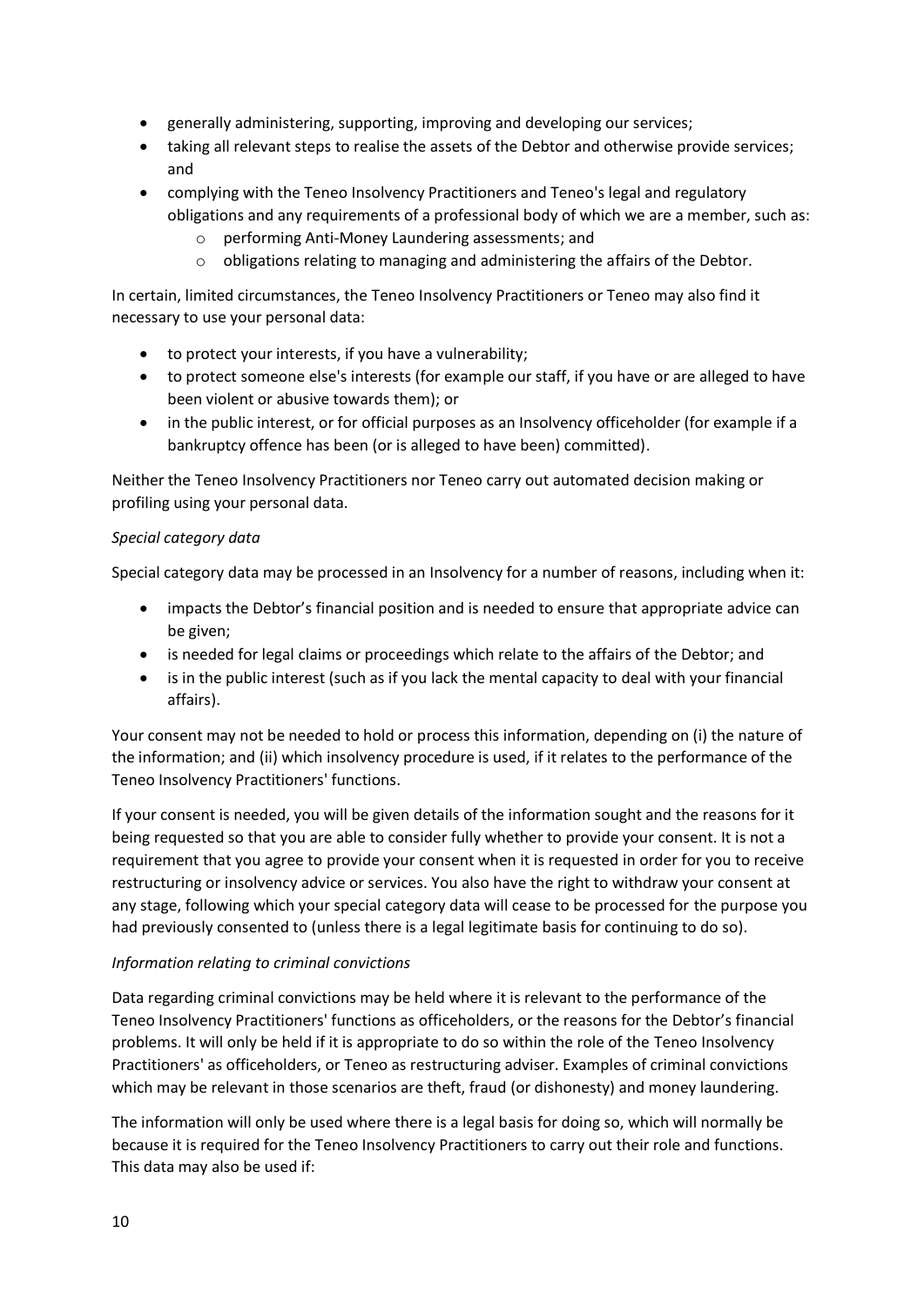- generally administering, supporting, improving and developing our services;
- taking all relevant steps to realise the assets of the Debtor and otherwise provide services; and
- complying with the Teneo Insolvency Practitioners and Teneo's legal and regulatory obligations and any requirements of a professional body of which we are a member, such as:
	- o performing Anti-Money Laundering assessments; and
	- $\circ$  obligations relating to managing and administering the affairs of the Debtor.

In certain, limited circumstances, the Teneo Insolvency Practitioners or Teneo may also find it necessary to use your personal data:

- to protect your interests, if you have a vulnerability;
- to protect someone else's interests (for example our staff, if you have or are alleged to have been violent or abusive towards them); or
- in the public interest, or for official purposes as an Insolvency officeholder (for example if a bankruptcy offence has been (or is alleged to have been) committed).

Neither the Teneo Insolvency Practitioners nor Teneo carry out automated decision making or profiling using your personal data.

## *Special category data*

Special category data may be processed in an Insolvency for a number of reasons, including when it:

- impacts the Debtor's financial position and is needed to ensure that appropriate advice can be given;
- is needed for legal claims or proceedings which relate to the affairs of the Debtor; and
- is in the public interest (such as if you lack the mental capacity to deal with your financial affairs).

Your consent may not be needed to hold or process this information, depending on (i) the nature of the information; and (ii) which insolvency procedure is used, if it relates to the performance of the Teneo Insolvency Practitioners' functions.

If your consent is needed, you will be given details of the information sought and the reasons for it being requested so that you are able to consider fully whether to provide your consent. It is not a requirement that you agree to provide your consent when it is requested in order for you to receive restructuring or insolvency advice or services. You also have the right to withdraw your consent at any stage, following which your special category data will cease to be processed for the purpose you had previously consented to (unless there is a legal legitimate basis for continuing to do so).

## *Information relating to criminal convictions*

Data regarding criminal convictions may be held where it is relevant to the performance of the Teneo Insolvency Practitioners' functions as officeholders, or the reasons for the Debtor's financial problems. It will only be held if it is appropriate to do so within the role of the Teneo Insolvency Practitioners' as officeholders, or Teneo as restructuring adviser. Examples of criminal convictions which may be relevant in those scenarios are theft, fraud (or dishonesty) and money laundering.

The information will only be used where there is a legal basis for doing so, which will normally be because it is required for the Teneo Insolvency Practitioners to carry out their role and functions. This data may also be used if: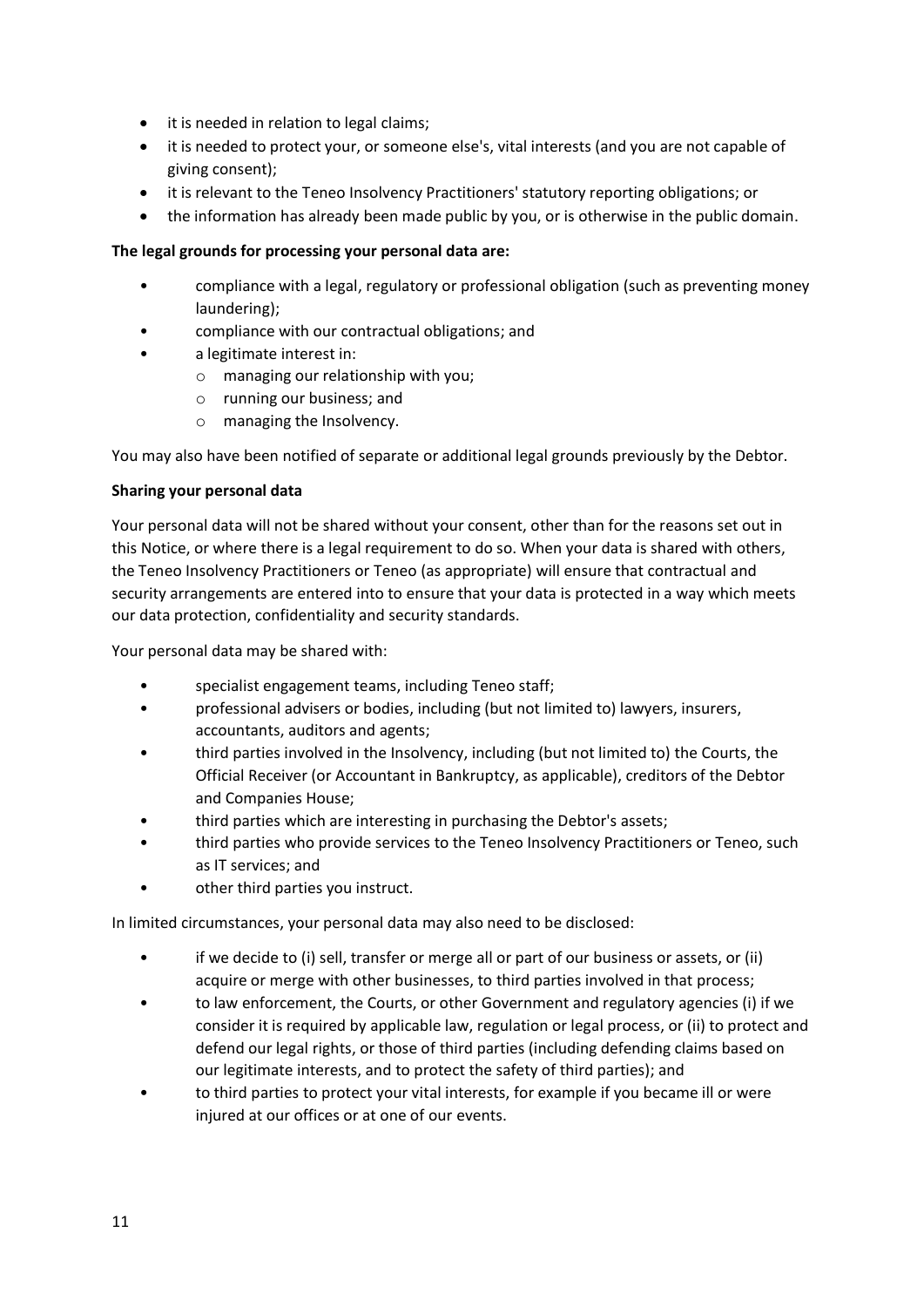- it is needed in relation to legal claims;
- it is needed to protect your, or someone else's, vital interests (and you are not capable of giving consent);
- it is relevant to the Teneo Insolvency Practitioners' statutory reporting obligations; or
- the information has already been made public by you, or is otherwise in the public domain.

## **The legal grounds for processing your personal data are:**

- compliance with a legal, regulatory or professional obligation (such as preventing money laundering);
- compliance with our contractual obligations; and
- a legitimate interest in:
	- o managing our relationship with you;
	- o running our business; and
	- o managing the Insolvency.

You may also have been notified of separate or additional legal grounds previously by the Debtor.

#### **Sharing your personal data**

Your personal data will not be shared without your consent, other than for the reasons set out in this Notice, or where there is a legal requirement to do so. When your data is shared with others, the Teneo Insolvency Practitioners or Teneo (as appropriate) will ensure that contractual and security arrangements are entered into to ensure that your data is protected in a way which meets our data protection, confidentiality and security standards.

Your personal data may be shared with:

- specialist engagement teams, including Teneo staff;
- professional advisers or bodies, including (but not limited to) lawyers, insurers, accountants, auditors and agents;
- third parties involved in the Insolvency, including (but not limited to) the Courts, the Official Receiver (or Accountant in Bankruptcy, as applicable), creditors of the Debtor and Companies House;
- third parties which are interesting in purchasing the Debtor's assets;
- third parties who provide services to the Teneo Insolvency Practitioners or Teneo, such as IT services; and
- other third parties you instruct.

In limited circumstances, your personal data may also need to be disclosed:

- if we decide to (i) sell, transfer or merge all or part of our business or assets, or (ii) acquire or merge with other businesses, to third parties involved in that process;
- to law enforcement, the Courts, or other Government and regulatory agencies (i) if we consider it is required by applicable law, regulation or legal process, or (ii) to protect and defend our legal rights, or those of third parties (including defending claims based on our legitimate interests, and to protect the safety of third parties); and
- to third parties to protect your vital interests, for example if you became ill or were injured at our offices or at one of our events.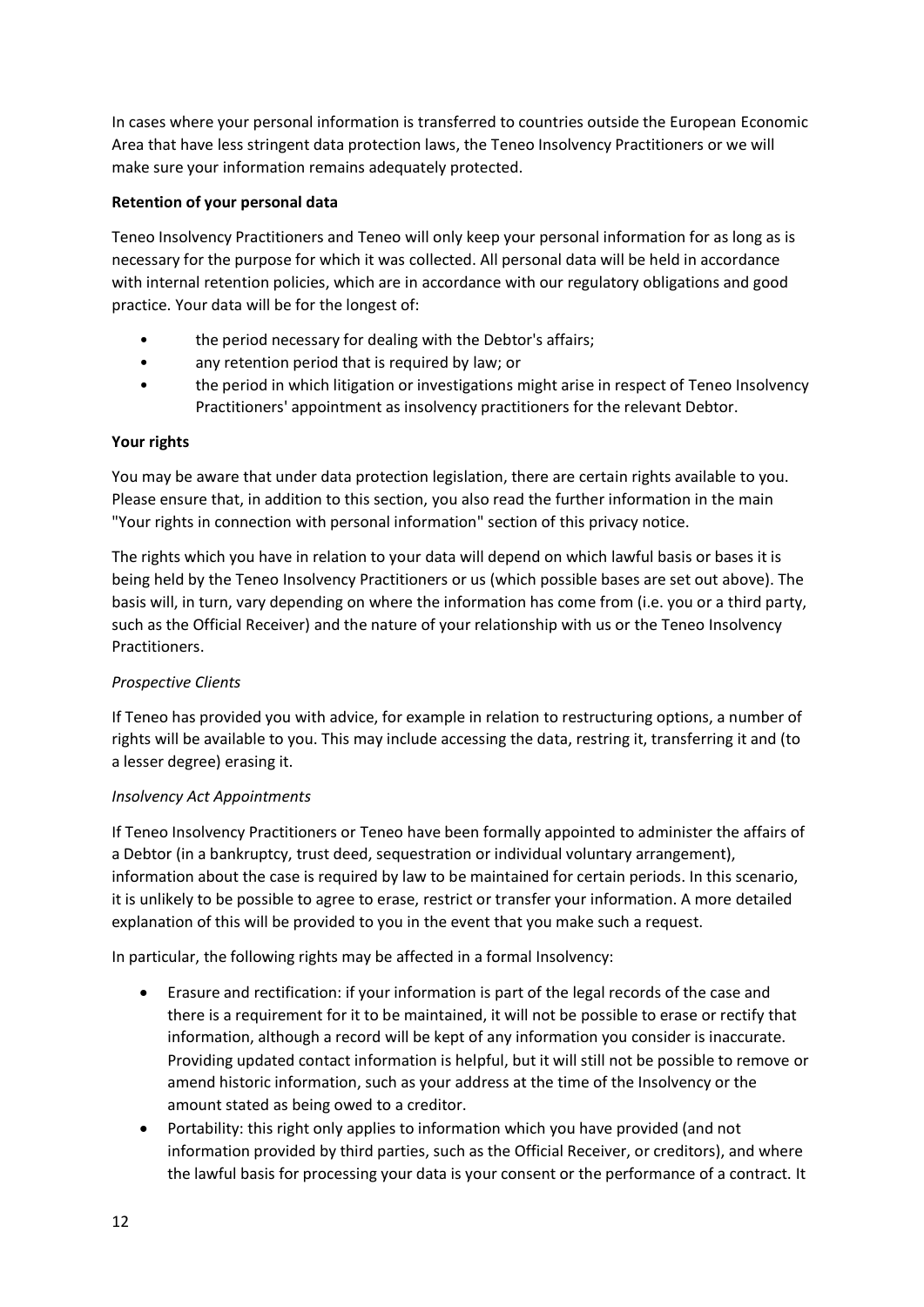In cases where your personal information is transferred to countries outside the European Economic Area that have less stringent data protection laws, the Teneo Insolvency Practitioners or we will make sure your information remains adequately protected.

## **Retention of your personal data**

Teneo Insolvency Practitioners and Teneo will only keep your personal information for as long as is necessary for the purpose for which it was collected. All personal data will be held in accordance with internal retention policies, which are in accordance with our regulatory obligations and good practice. Your data will be for the longest of:

- the period necessary for dealing with the Debtor's affairs;
- any retention period that is required by law; or
- the period in which litigation or investigations might arise in respect of Teneo Insolvency Practitioners' appointment as insolvency practitioners for the relevant Debtor.

## **Your rights**

You may be aware that under data protection legislation, there are certain rights available to you. Please ensure that, in addition to this section, you also read the further information in the main "Your rights in connection with personal information" section of this privacy notice.

The rights which you have in relation to your data will depend on which lawful basis or bases it is being held by the Teneo Insolvency Practitioners or us (which possible bases are set out above). The basis will, in turn, vary depending on where the information has come from (i.e. you or a third party, such as the Official Receiver) and the nature of your relationship with us or the Teneo Insolvency Practitioners.

# *Prospective Clients*

If Teneo has provided you with advice, for example in relation to restructuring options, a number of rights will be available to you. This may include accessing the data, restring it, transferring it and (to a lesser degree) erasing it.

## *Insolvency Act Appointments*

If Teneo Insolvency Practitioners or Teneo have been formally appointed to administer the affairs of a Debtor (in a bankruptcy, trust deed, sequestration or individual voluntary arrangement), information about the case is required by law to be maintained for certain periods. In this scenario, it is unlikely to be possible to agree to erase, restrict or transfer your information. A more detailed explanation of this will be provided to you in the event that you make such a request.

In particular, the following rights may be affected in a formal Insolvency:

- Erasure and rectification: if your information is part of the legal records of the case and there is a requirement for it to be maintained, it will not be possible to erase or rectify that information, although a record will be kept of any information you consider is inaccurate. Providing updated contact information is helpful, but it will still not be possible to remove or amend historic information, such as your address at the time of the Insolvency or the amount stated as being owed to a creditor.
- Portability: this right only applies to information which you have provided (and not information provided by third parties, such as the Official Receiver, or creditors), and where the lawful basis for processing your data is your consent or the performance of a contract. It